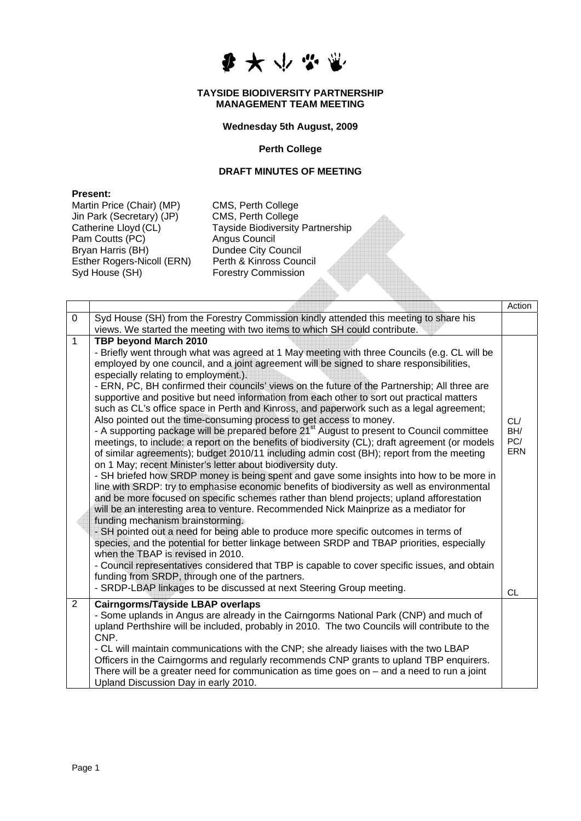

#### **TAYSIDE BIODIVERSITY PARTNERSHIP MANAGEMENT TEAM MEETING**

## **Wednesday 5th August, 2009**

#### **Perth College**

# **DRAFT MINUTES OF MEETING**

## **Present:**

Martin Price (Chair) (MP) CMS, Perth College Jin Park (Secretary) (JP) CMS, Perth College<br>Catherine Lloyd (CL) Tayside Biodiversity Pam Coutts (PC) Angus Council Bryan Harris (BH)<br>
Esther Rogers-Nicoll (ERN) Perth & Kinross Council Esther Rogers-Nicoll (ERN)<br>Syd House (SH)

Tayside Biodiversity Partnership **Forestry Commission** 

|                |                                                                                                                                                                                                                                                                                                                                                                                                                                                                                                                                                                                                                                                                                                                                                                                                                                                                                                                                                                                                                                                                                                                                                                                                                                                                                                                                                                                                                                                                                                                                                                                                                                                                                                                                                                                                                                                                                | Action                   |
|----------------|--------------------------------------------------------------------------------------------------------------------------------------------------------------------------------------------------------------------------------------------------------------------------------------------------------------------------------------------------------------------------------------------------------------------------------------------------------------------------------------------------------------------------------------------------------------------------------------------------------------------------------------------------------------------------------------------------------------------------------------------------------------------------------------------------------------------------------------------------------------------------------------------------------------------------------------------------------------------------------------------------------------------------------------------------------------------------------------------------------------------------------------------------------------------------------------------------------------------------------------------------------------------------------------------------------------------------------------------------------------------------------------------------------------------------------------------------------------------------------------------------------------------------------------------------------------------------------------------------------------------------------------------------------------------------------------------------------------------------------------------------------------------------------------------------------------------------------------------------------------------------------|--------------------------|
| 0              | Syd House (SH) from the Forestry Commission kindly attended this meeting to share his<br>views. We started the meeting with two items to which SH could contribute.                                                                                                                                                                                                                                                                                                                                                                                                                                                                                                                                                                                                                                                                                                                                                                                                                                                                                                                                                                                                                                                                                                                                                                                                                                                                                                                                                                                                                                                                                                                                                                                                                                                                                                            |                          |
| $\mathbf{1}$   | TBP beyond March 2010<br>- Briefly went through what was agreed at 1 May meeting with three Councils (e.g. CL will be<br>employed by one council, and a joint agreement will be signed to share responsibilities,<br>especially relating to employment.).<br>- ERN, PC, BH confirmed their councils' views on the future of the Partnership; All three are<br>supportive and positive but need information from each other to sort out practical matters<br>such as CL's office space in Perth and Kinross, and paperwork such as a legal agreement;<br>Also pointed out the time-consuming process to get access to money.<br>- A supporting package will be prepared before 21 <sup>st</sup> August to present to Council committee<br>meetings, to include: a report on the benefits of biodiversity (CL); draft agreement (or models<br>of similar agreements); budget 2010/11 including admin cost (BH); report from the meeting<br>on 1 May; recent Minister's letter about biodiversity duty.<br>- SH briefed how SRDP money is being spent and gave some insights into how to be more in<br>line with SRDP: try to emphasise economic benefits of biodiversity as well as environmental<br>and be more focused on specific schemes rather than blend projects; upland afforestation<br>will be an interesting area to venture. Recommended Nick Mainprize as a mediator for<br>funding mechanism brainstorming.<br>- SH pointed out a need for being able to produce more specific outcomes in terms of<br>species, and the potential for better linkage between SRDP and TBAP priorities, especially<br>when the TBAP is revised in 2010.<br>- Council representatives considered that TBP is capable to cover specific issues, and obtain<br>funding from SRDP, through one of the partners.<br>- SRDP-LBAP linkages to be discussed at next Steering Group meeting. | CL/<br>BH/<br>PC/<br>ERN |
|                |                                                                                                                                                                                                                                                                                                                                                                                                                                                                                                                                                                                                                                                                                                                                                                                                                                                                                                                                                                                                                                                                                                                                                                                                                                                                                                                                                                                                                                                                                                                                                                                                                                                                                                                                                                                                                                                                                | <b>CL</b>                |
| $\overline{2}$ | <b>Cairngorms/Tayside LBAP overlaps</b><br>- Some uplands in Angus are already in the Cairngorms National Park (CNP) and much of<br>upland Perthshire will be included, probably in 2010. The two Councils will contribute to the<br>CNP.<br>- CL will maintain communications with the CNP; she already liaises with the two LBAP<br>Officers in the Cairngorms and regularly recommends CNP grants to upland TBP enquirers.<br>There will be a greater need for communication as time goes on - and a need to run a joint                                                                                                                                                                                                                                                                                                                                                                                                                                                                                                                                                                                                                                                                                                                                                                                                                                                                                                                                                                                                                                                                                                                                                                                                                                                                                                                                                    |                          |
|                | Upland Discussion Day in early 2010.                                                                                                                                                                                                                                                                                                                                                                                                                                                                                                                                                                                                                                                                                                                                                                                                                                                                                                                                                                                                                                                                                                                                                                                                                                                                                                                                                                                                                                                                                                                                                                                                                                                                                                                                                                                                                                           |                          |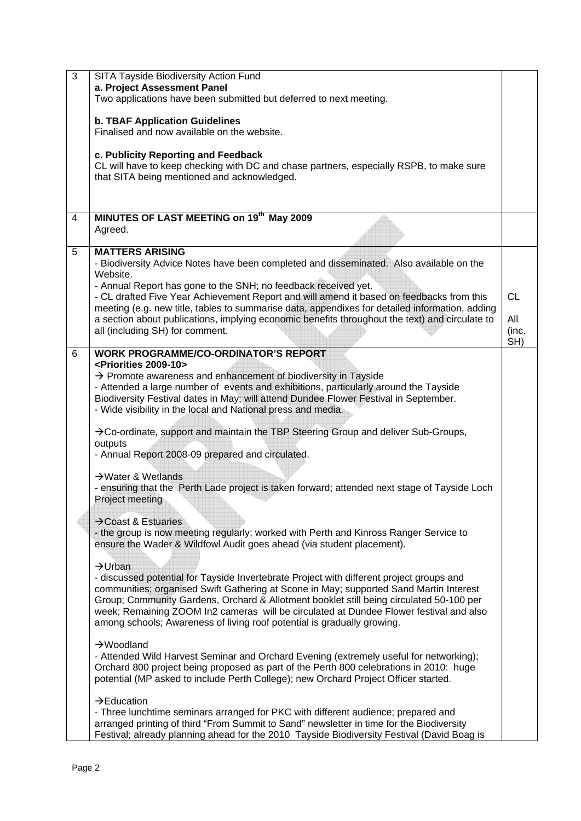| 3              | SITA Tayside Biodiversity Action Fund<br>a. Project Assessment Panel<br>Two applications have been submitted but deferred to next meeting.                                                                                                                                                                                                                                                                                                                                                                                                                                                                                                                                                                                                                                                                                                                                                                                                                                                                                                                                                                                                                                                                                                                                                                                                                                                                                                                                                                                                                                                                                                                                                                                                    |                                  |
|----------------|-----------------------------------------------------------------------------------------------------------------------------------------------------------------------------------------------------------------------------------------------------------------------------------------------------------------------------------------------------------------------------------------------------------------------------------------------------------------------------------------------------------------------------------------------------------------------------------------------------------------------------------------------------------------------------------------------------------------------------------------------------------------------------------------------------------------------------------------------------------------------------------------------------------------------------------------------------------------------------------------------------------------------------------------------------------------------------------------------------------------------------------------------------------------------------------------------------------------------------------------------------------------------------------------------------------------------------------------------------------------------------------------------------------------------------------------------------------------------------------------------------------------------------------------------------------------------------------------------------------------------------------------------------------------------------------------------------------------------------------------------|----------------------------------|
|                | <b>b. TBAF Application Guidelines</b><br>Finalised and now available on the website.                                                                                                                                                                                                                                                                                                                                                                                                                                                                                                                                                                                                                                                                                                                                                                                                                                                                                                                                                                                                                                                                                                                                                                                                                                                                                                                                                                                                                                                                                                                                                                                                                                                          |                                  |
|                | c. Publicity Reporting and Feedback<br>CL will have to keep checking with DC and chase partners, especially RSPB, to make sure<br>that SITA being mentioned and acknowledged.                                                                                                                                                                                                                                                                                                                                                                                                                                                                                                                                                                                                                                                                                                                                                                                                                                                                                                                                                                                                                                                                                                                                                                                                                                                                                                                                                                                                                                                                                                                                                                 |                                  |
| $\overline{4}$ | MINUTES OF LAST MEETING on 19th May 2009<br>Agreed.                                                                                                                                                                                                                                                                                                                                                                                                                                                                                                                                                                                                                                                                                                                                                                                                                                                                                                                                                                                                                                                                                                                                                                                                                                                                                                                                                                                                                                                                                                                                                                                                                                                                                           |                                  |
| 5              | <b>MATTERS ARISING</b><br>- Biodiversity Advice Notes have been completed and disseminated. Also available on the<br>Website.<br>- Annual Report has gone to the SNH; no feedback received yet.<br>- CL drafted Five Year Achievement Report and will amend it based on feedbacks from this<br>meeting (e.g. new title, tables to summarise data, appendixes for detailed information, adding<br>a section about publications, implying economic benefits throughout the text) and circulate to<br>all (including SH) for comment.                                                                                                                                                                                                                                                                                                                                                                                                                                                                                                                                                                                                                                                                                                                                                                                                                                                                                                                                                                                                                                                                                                                                                                                                            | <b>CL</b><br>All<br>(inc.<br>SH) |
| 6              | <b>WORK PROGRAMME/CO-ORDINATOR'S REPORT</b><br><priorities 2009-10=""><br/><math>\rightarrow</math> Promote awareness and enhancement of biodiversity in Tayside<br/>- Attended a large number of events and exhibitions, particularly around the Tayside<br/>Biodiversity Festival dates in May; will attend Dundee Flower Festival in September.<br/>- Wide visibility in the local and National press and media.<br/><math>\rightarrow</math> Co-ordinate, support and maintain the TBP Steering Group and deliver Sub-Groups,<br/>outputs<br/>- Annual Report 2008-09 prepared and circulated.<br/><math>\rightarrow</math> Water &amp; Wetlands<br/>- ensuring that the Perth Lade project is taken forward; attended next stage of Tayside Loch<br/>Project meeting<br/><math>\rightarrow</math> Coast &amp; Estuaries<br/>- the group is now meeting regularly; worked with Perth and Kinross Ranger Service to<br/>ensure the Wader &amp; Wildfowl Audit goes ahead (via student placement).<br/><math>\rightarrow</math>Urban<br/>- discussed potential for Tayside Invertebrate Project with different project groups and<br/>communities; organised Swift Gathering at Scone in May; supported Sand Martin Interest<br/>Group; Community Gardens, Orchard &amp; Allotment booklet still being circulated 50-100 per<br/>week; Remaining ZOOM In2 cameras will be circulated at Dundee Flower festival and also<br/>among schools; Awareness of living roof potential is gradually growing.<br/><math>\rightarrow</math>Woodland<br/>- Attended Wild Harvest Seminar and Orchard Evening (extremely useful for networking);<br/>Orchard 800 project being proposed as part of the Perth 800 celebrations in 2010: huge</priorities> |                                  |
|                | potential (MP asked to include Perth College); new Orchard Project Officer started.<br>$\rightarrow$ Education<br>- Three lunchtime seminars arranged for PKC with different audience; prepared and<br>arranged printing of third "From Summit to Sand" newsletter in time for the Biodiversity<br>Festival; already planning ahead for the 2010 Tayside Biodiversity Festival (David Boag is                                                                                                                                                                                                                                                                                                                                                                                                                                                                                                                                                                                                                                                                                                                                                                                                                                                                                                                                                                                                                                                                                                                                                                                                                                                                                                                                                 |                                  |